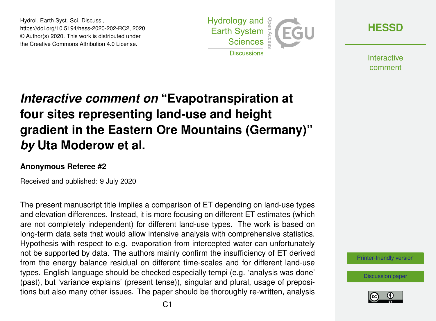Hydrol. Earth Syst. Sci. Discuss., https://doi.org/10.5194/hess-2020-202-RC2, 2020 © Author(s) 2020. This work is distributed under the Creative Commons Attribution 4.0 License.



**[HESSD](https://www.hydrol-earth-syst-sci-discuss.net/)**

**Interactive** comment

## *Interactive comment on* **"Evapotranspiration at four sites representing land-use and height gradient in the Eastern Ore Mountains (Germany)"** *by* **Uta Moderow et al.**

## **Anonymous Referee #2**

Received and published: 9 July 2020

The present manuscript title implies a comparison of ET depending on land-use types and elevation differences. Instead, it is more focusing on different ET estimates (which are not completely independent) for different land-use types. The work is based on long-term data sets that would allow intensive analysis with comprehensive statistics. Hypothesis with respect to e.g. evaporation from intercepted water can unfortunately not be supported by data. The authors mainly confirm the insufficiency of ET derived from the energy balance residual on different time-scales and for different land-use types. English language should be checked especially tempi (e.g. 'analysis was done' (past), but 'variance explains' (present tense)), singular and plural, usage of prepositions but also many other issues. The paper should be thoroughly re-written, analysis

[Printer-friendly version](https://www.hydrol-earth-syst-sci-discuss.net/hess-2020-202/hess-2020-202-RC2-print.pdf)

[Discussion paper](https://www.hydrol-earth-syst-sci-discuss.net/hess-2020-202)

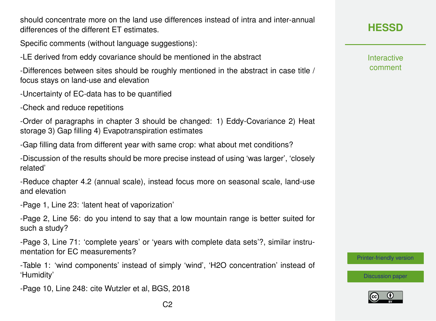should concentrate more on the land use differences instead of intra and inter-annual differences of the different ET estimates.

Specific comments (without language suggestions):

-LE derived from eddy covariance should be mentioned in the abstract

-Differences between sites should be roughly mentioned in the abstract in case title / focus stays on land-use and elevation

- -Uncertainty of EC-data has to be quantified
- -Check and reduce repetitions

-Order of paragraphs in chapter 3 should be changed: 1) Eddy-Covariance 2) Heat storage 3) Gap filling 4) Evapotranspiration estimates

-Gap filling data from different year with same crop: what about met conditions?

-Discussion of the results should be more precise instead of using 'was larger', 'closely related'

-Reduce chapter 4.2 (annual scale), instead focus more on seasonal scale, land-use and elevation

-Page 1, Line 23: 'latent heat of vaporization'

-Page 2, Line 56: do you intend to say that a low mountain range is better suited for such a study?

-Page 3, Line 71: 'complete years' or 'years with complete data sets'?, similar instrumentation for FC measurements?

-Table 1: 'wind components' instead of simply 'wind', 'H2O concentration' instead of 'Humidity'

-Page 10, Line 248: cite Wutzler et al, BGS, 2018

**Interactive** comment

[Printer-friendly version](https://www.hydrol-earth-syst-sci-discuss.net/hess-2020-202/hess-2020-202-RC2-print.pdf)